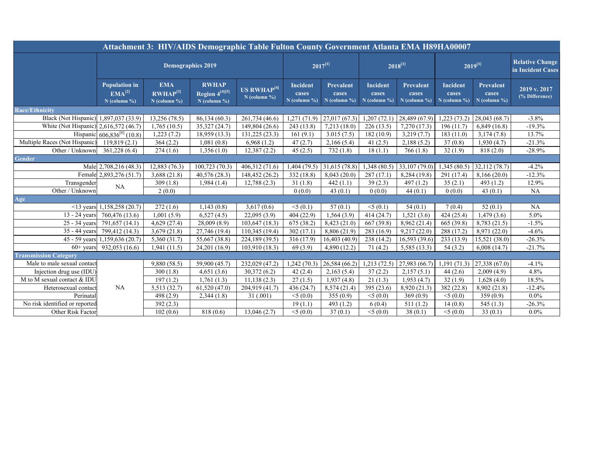| Attachment 3: HIV/AIDS Demographic Table Fulton County Government Atlanta EMA H89HA00007 |                                                       |                                                      |                                                  |                                                 |                                     |                                             |                                            |                                      |                                     |                                             |                                             |
|------------------------------------------------------------------------------------------|-------------------------------------------------------|------------------------------------------------------|--------------------------------------------------|-------------------------------------------------|-------------------------------------|---------------------------------------------|--------------------------------------------|--------------------------------------|-------------------------------------|---------------------------------------------|---------------------------------------------|
|                                                                                          | <b>Demographics 2019</b>                              |                                                      |                                                  |                                                 | $2017^{[1]}$                        |                                             | $2018^{[1]}$                               |                                      | $2019^{[1]}$                        |                                             | <b>Relative Change</b><br>in Incident Cases |
|                                                                                          | <b>Population in</b><br>$EMA^{[2]}$<br>$N$ (column %) | <b>EMA</b><br>RWHAP <sup>[3]</sup><br>$N$ (column %) | <b>RWHAP</b><br>Region 4[4][5]<br>$N$ (column %) | <b>US RWHAP<sup>[4]</sup></b><br>$N$ (column %) | Incident<br>cases<br>$N$ (column %) | <b>Prevalent</b><br>cases<br>$N$ (column %) | <b>Incident</b><br>cases<br>$N$ (column %) | Prevalent<br>cases<br>$N$ (column %) | Incident<br>cases<br>$N$ (column %) | <b>Prevalent</b><br>cases<br>$N$ (column %) | 2019 v. 2017<br>(% Difference)              |
| <b>Race/Ethnicity</b>                                                                    |                                                       |                                                      |                                                  |                                                 |                                     |                                             |                                            |                                      |                                     |                                             |                                             |
| Black (Not Hispanic) 1,897,037 (33.9)                                                    |                                                       | 13,256 (78.5)                                        | 86,134 (60.3)                                    | 261,734 (46.6)                                  |                                     | $1,271(71.9)$ 27,017 (67.3)                 | 1,207(72.1)                                | 28,489 (67.9)                        | 1,223(73.2)                         | 28,043 (68.7)                               | $-3.8%$                                     |
| White (Not Hispanic) 2,616,572 (46.7)                                                    |                                                       | 1,765(10.5)                                          | 35,327 (24.7)                                    | 149,804 (26.6)                                  | 243 (13.8)                          | 7,213(18.0)                                 | 226(13.5)                                  | 7,270(17.3)                          | 196(11.7)                           | 6,849(16.8)                                 | $-19.3%$                                    |
|                                                                                          | Hispanic 606,836 <sup>[6]</sup> (10.8)                | 1,223(7.2)                                           | 18,959 (13.3)                                    | 131,225 (23.3)                                  | 161(9.1)                            | 3.015(7.5)                                  | 182(10.9)                                  | 3,219(7.7)                           | 183(11.0)                           | 3,174(7.8)                                  | 13.7%                                       |
| Multiple Races (Not Hispanic)                                                            | 119,819(2.1)                                          | 364(2.2)                                             | 1,081(0.8)                                       | 6,968(1.2)                                      | 47(2.7)                             | 2,166(5.4)                                  | 41 $(2.5)$                                 | 2,188(5.2)                           | 37(0.8)                             | 1,930(4.7)                                  | $-21.3%$                                    |
| Other / Unknown                                                                          | 361,228 (6.4)                                         | 274(1.6)                                             | 1,356(1.0)                                       | 12,387(2.2)                                     | 45(2.5)                             | 732(1.8)                                    | 18(1.1)                                    | 766(1.8)                             | 32(1.9)                             | 818 (2.0)                                   | $-28.9%$                                    |
| <b>Gender</b>                                                                            |                                                       |                                                      |                                                  |                                                 |                                     |                                             |                                            |                                      |                                     |                                             |                                             |
|                                                                                          | Male 2,708,216 (48.3)                                 | 12,883 (76.3)                                        | 100,723 (70.3)                                   | 406,312 (71.6)                                  | 1,404(79.5)                         | 31,615 (78.8)                               | 1,348(80.5)                                | 33,107 (79.0)                        | 1,345(80.5)                         | 32,112(78.7)                                | $-4.2%$                                     |
|                                                                                          | Female 2,893,276 (51.7)                               | 3,688(21.8)                                          | 40,576 (28.3)                                    | 148,452 (26.2)                                  | 332 (18.8)                          | 8,043(20.0)                                 | 287(17.1)                                  | 8,284 (19.8)                         | 291 (17.4)                          | 8,166(20.0)                                 | $-12.3%$                                    |
| Transgender                                                                              | <b>NA</b>                                             | 309(1.8)                                             | 1,984(1.4)                                       | 12,788(2.3)                                     | 31(1.8)                             | 442(1.1)                                    | 39(2.3)                                    | 497(1.2)                             | 35(2.1)                             | 493 $(1.2)$                                 | 12.9%                                       |
| Other / Unknown                                                                          |                                                       | 2(0.0)                                               |                                                  |                                                 | 0(0.0)                              | 43(0.1)                                     | 0(0.0)                                     | 44(0.1)                              | 0(0.0)                              | 43 $(0.1)$                                  | <b>NA</b>                                   |
| Age                                                                                      |                                                       |                                                      |                                                  |                                                 |                                     |                                             |                                            |                                      |                                     |                                             |                                             |
|                                                                                          | $\leq$ 13 years 1,158,258 (20.7)                      | 272(1.6)                                             | 1,143(0.8)                                       | 3,617(0.6)                                      | $<$ 5 (0.1)                         | 57(0.1)                                     | $<$ 5 (0.1)                                | 54(0.1)                              | 7(0.4)                              | 52(0.1)                                     | <b>NA</b>                                   |
| $13 - 24$ years                                                                          | 760,476 (13.6)                                        | 1,001(5.9)                                           | 6,527(4.5)                                       | 22,095(3.9)                                     | 404(22.9)                           | 1,564(3.9)                                  | 414(24.7)                                  | 1,521(3.6)                           | 424(25.4)                           | 1,479(3.6)                                  | 5.0%                                        |
| 25 - 34 years                                                                            | 791,657 (14.1)                                        | 4,629(27.4)                                          | $\overline{28,009}$ (8.9)                        | 103,647 (18.3)                                  | 675(38.2)                           | 8,423(21.0)                                 | 667 (39.8)                                 | 8,962 (21.4)                         | 665 (39.8)                          | 8,783 (21.5)                                | $-1.5%$                                     |
| 35 - 44 years                                                                            | 799,412 (14.3)                                        | 3,679(21.8)                                          | 27,746 (19.4)                                    | 110,345 (19.4)                                  | 302(17.1)                           | 8,806 (21.9)                                | 283(16.9)                                  | 9,217(22.0)                          | 288 (17.2)                          | 8,971 (22.0)                                | $-4.6%$                                     |
|                                                                                          | 45 - 59 years 1,159,636 (20.7)                        | 5,360 (31.7)                                         | 55,667 (38.8)                                    | 224,189 (39.5)                                  | 316(17.9)                           | 16,403(40.9)                                | 238 (14.2)                                 | 16,593 (39.6)                        | 233(13.9)                           | 15,521 (38.0)                               | $-26.3%$                                    |
| $60+$ years                                                                              | 932,053 (16.6)                                        | 1,941(11.5)                                          | 24,201 (16.9)                                    | 103,910 (18.3)                                  | 69(3.9)                             | 4,890 (12.2)                                | 71(4.2)                                    | 5,585 (13.3)                         | 54(3.2)                             | 6,008(14.7)                                 | $-21.7%$                                    |
| <b>Transmission Category</b>                                                             |                                                       |                                                      |                                                  |                                                 |                                     |                                             |                                            |                                      |                                     |                                             |                                             |
| Male to male sexual contact                                                              | <b>NA</b>                                             | 9,880 (58.5)                                         | 59,900 (45.7)                                    | 232,029 (47.2)                                  | 1,242(70.3)                         | $\sqrt{26,584(66.2)}$                       | 1,213(72.5)                                | 27,983 (66.7)                        | 1,191(71.3)                         | 27,338 (67.0)                               | $-4.1%$                                     |
| Injection drug use (IDU)                                                                 |                                                       | 300(1.8)                                             | 4,651(3.6)                                       | 30,372(6.2)                                     | 42(2.4)                             | 2,163(5.4)                                  | 37(2.2)                                    | 2,157(5.1)                           | 44(2.6)                             | 2,009(4.9)                                  | 4.8%                                        |
| M to M sexual contact & IDU                                                              |                                                       | 197(1.2)                                             | 1,761(1.3)                                       | 11,138(2.3)                                     | 27(1.5)                             | 1,937(4.8)                                  | 21(1.3)                                    | 1,953(4.7)                           | 32(1.9)                             | 1,628(4.0)                                  | 18.5%                                       |
| Heterosexual contact                                                                     |                                                       | 5,513 (32.7)                                         | 61,520(47.0)                                     | 204,919 (41.7)                                  | 436(24.7)                           | 8,574 (21.4)                                | 395 (23.6)                                 | 8,920 (21.3)                         | 382 (22.8)                          | 8,902 (21.8)                                | $-12.4%$                                    |
| Perinatal                                                                                |                                                       | 498 (2.9)                                            | 2,344(1.8)                                       | 31 (.001)                                       | $<$ 5 (0.0)                         | 355(0.9)                                    | $<$ 5 (0.0)                                | 369(0.9)                             | $<$ 5 (0.0)                         | 359(0.9)                                    | $0.0\%$                                     |
| No risk identified or reported                                                           |                                                       | 392(2.3)                                             |                                                  |                                                 | 19(1.1)                             | 493 $(1.2)$                                 | 6(0.4)                                     | 511(1.2)                             | 14(0.8)                             | 545(1.3)                                    | $-26.3%$                                    |
| Other Risk Factor                                                                        |                                                       | 102(0.6)                                             | 818 (0.6)                                        | 13,046(2.7)                                     | $<$ 5 (0.0)                         | 37(0.1)                                     | $<$ 5 (0.0)                                | 38(0.1)                              | $<$ 5 (0.0)                         | 33(0.1)                                     | $0.0\%$                                     |